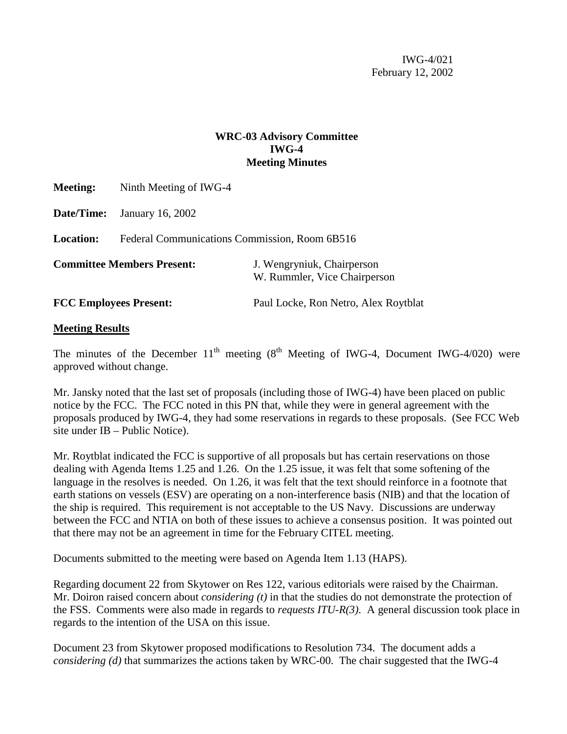IWG-4/021 February 12, 2002

## **WRC-03 Advisory Committee IWG-4 Meeting Minutes**

| <b>Meeting:</b>                   | Ninth Meeting of IWG-4                        |                                                            |  |  |  |  |  |
|-----------------------------------|-----------------------------------------------|------------------------------------------------------------|--|--|--|--|--|
| <b>Date/Time:</b>                 | January 16, 2002                              |                                                            |  |  |  |  |  |
| <b>Location:</b>                  | Federal Communications Commission, Room 6B516 |                                                            |  |  |  |  |  |
| <b>Committee Members Present:</b> |                                               | J. Wengryniuk, Chairperson<br>W. Rummler, Vice Chairperson |  |  |  |  |  |
| <b>FCC Employees Present:</b>     |                                               | Paul Locke, Ron Netro, Alex Roytblat                       |  |  |  |  |  |

## **Meeting Results**

The minutes of the December  $11<sup>th</sup>$  meeting (8<sup>th</sup> Meeting of IWG-4, Document IWG-4/020) were approved without change.

Mr. Jansky noted that the last set of proposals (including those of IWG-4) have been placed on public notice by the FCC. The FCC noted in this PN that, while they were in general agreement with the proposals produced by IWG-4, they had some reservations in regards to these proposals. (See FCC Web site under IB – Public Notice).

Mr. Roytblat indicated the FCC is supportive of all proposals but has certain reservations on those dealing with Agenda Items 1.25 and 1.26. On the 1.25 issue, it was felt that some softening of the language in the resolves is needed. On 1.26, it was felt that the text should reinforce in a footnote that earth stations on vessels (ESV) are operating on a non-interference basis (NIB) and that the location of the ship is required. This requirement is not acceptable to the US Navy. Discussions are underway between the FCC and NTIA on both of these issues to achieve a consensus position. It was pointed out that there may not be an agreement in time for the February CITEL meeting.

Documents submitted to the meeting were based on Agenda Item 1.13 (HAPS).

Regarding document 22 from Skytower on Res 122, various editorials were raised by the Chairman. Mr. Doiron raised concern about *considering (t)* in that the studies do not demonstrate the protection of the FSS. Comments were also made in regards to *requests ITU-R(3)*. A general discussion took place in regards to the intention of the USA on this issue.

Document 23 from Skytower proposed modifications to Resolution 734. The document adds a *considering (d)* that summarizes the actions taken by WRC-00. The chair suggested that the IWG-4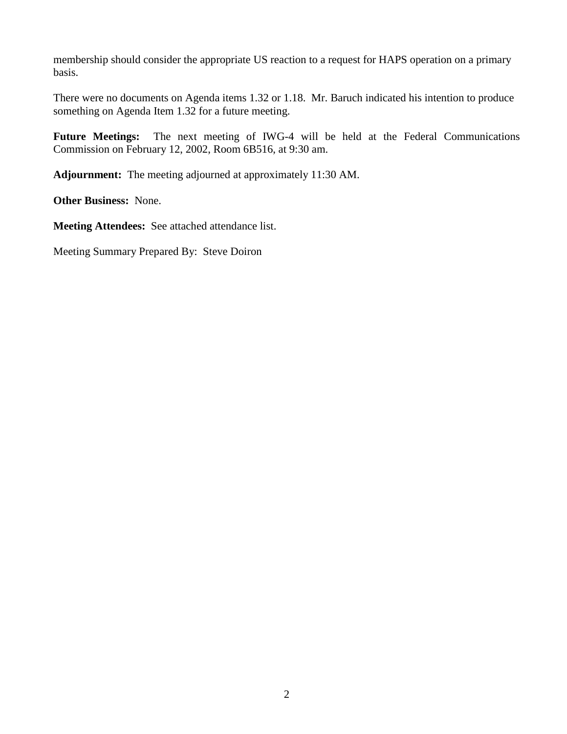membership should consider the appropriate US reaction to a request for HAPS operation on a primary basis.

There were no documents on Agenda items 1.32 or 1.18. Mr. Baruch indicated his intention to produce something on Agenda Item 1.32 for a future meeting.

**Future Meetings:** The next meeting of IWG-4 will be held at the Federal Communications Commission on February 12, 2002, Room 6B516, at 9:30 am.

**Adjournment:** The meeting adjourned at approximately 11:30 AM.

**Other Business:** None.

**Meeting Attendees:** See attached attendance list.

Meeting Summary Prepared By: Steve Doiron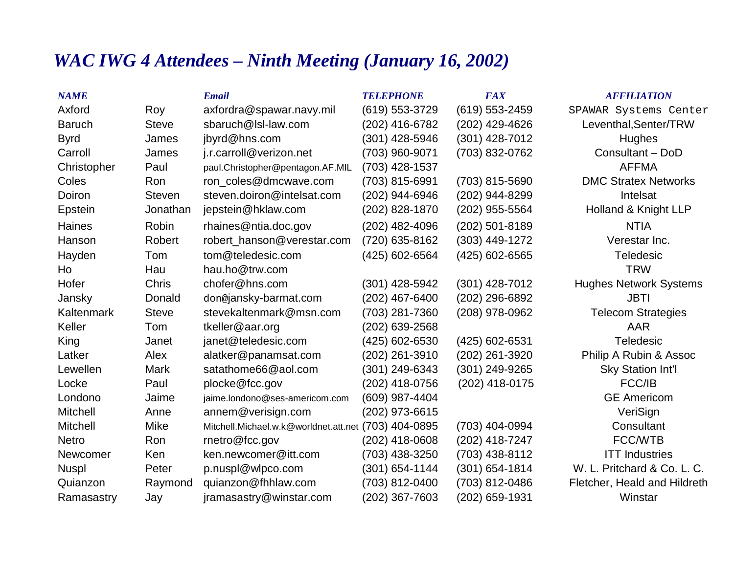## *WAC IWG 4 Attendees – Ninth Meeting (January 16, 2002)*

| <b>NAME</b>       |               | <b>Email</b>                                         | <b>TELEPHONE</b>   | <b>FAX</b>       | <b>AFFILIATION</b>            |
|-------------------|---------------|------------------------------------------------------|--------------------|------------------|-------------------------------|
| Axford            | Roy           | axfordra@spawar.navy.mil                             | (619) 553-3729     | (619) 553-2459   | SPAWAR Systems Center         |
| <b>Baruch</b>     | <b>Steve</b>  | sbaruch@lsl-law.com                                  | (202) 416-6782     | (202) 429-4626   | Leventhal, Senter/TRW         |
| <b>Byrd</b>       | James         | jbyrd@hns.com                                        | (301) 428-5946     | (301) 428-7012   | <b>Hughes</b>                 |
| Carroll           | James         | j.r.carroll@verizon.net                              | (703) 960-9071     | (703) 832-0762   | Consultant - DoD              |
| Christopher       | Paul          | paul.Christopher@pentagon.AF.MIL                     | (703) 428-1537     |                  | <b>AFFMA</b>                  |
| Coles             | Ron           | ron coles@dmcwave.com                                | (703) 815-6991     | (703) 815-5690   | <b>DMC Stratex Networks</b>   |
| Doiron            | <b>Steven</b> | steven.doiron@intelsat.com                           | (202) 944-6946     | (202) 944-8299   | Intelsat                      |
| Epstein           | Jonathan      | jepstein@hklaw.com                                   | (202) 828-1870     | (202) 955-5564   | Holland & Knight LLP          |
| <b>Haines</b>     | Robin         | rhaines@ntia.doc.gov                                 | (202) 482-4096     | (202) 501-8189   | <b>NTIA</b>                   |
| Hanson            | Robert        | robert_hanson@verestar.com                           | (720) 635-8162     | (303) 449-1272   | Verestar Inc.                 |
| Hayden            | Tom           | tom@teledesic.com                                    | (425) 602-6564     | (425) 602-6565   | <b>Teledesic</b>              |
| Ho                | Hau           | hau.ho@trw.com                                       |                    |                  | <b>TRW</b>                    |
| Hofer             | <b>Chris</b>  | chofer@hns.com                                       | (301) 428-5942     | $(301)$ 428-7012 | <b>Hughes Network Systems</b> |
| Jansky            | Donald        | don@jansky-barmat.com                                | (202) 467-6400     | (202) 296-6892   | <b>JBTI</b>                   |
| <b>Kaltenmark</b> | <b>Steve</b>  | stevekaltenmark@msn.com                              | (703) 281-7360     | (208) 978-0962   | <b>Telecom Strategies</b>     |
| Keller            | Tom           | tkeller@aar.org                                      | (202) 639-2568     |                  | AAR                           |
| King              | Janet         | janet@teledesic.com                                  | (425) 602-6530     | (425) 602-6531   | <b>Teledesic</b>              |
| Latker            | Alex          | alatker@panamsat.com                                 | (202) 261-3910     | (202) 261-3920   | Philip A Rubin & Assoc        |
| Lewellen          | <b>Mark</b>   | satathome66@aol.com                                  | (301) 249-6343     | (301) 249-9265   | <b>Sky Station Int'l</b>      |
| Locke             | Paul          | plocke@fcc.gov                                       | (202) 418-0756     | (202) 418-0175   | FCC/IB                        |
| Londono           | Jaime         | jaime.londono@ses-americom.com                       | (609) 987-4404     |                  | <b>GE Americom</b>            |
| <b>Mitchell</b>   | Anne          | annem@verisign.com                                   | (202) 973-6615     |                  | VeriSign                      |
| <b>Mitchell</b>   | <b>Mike</b>   | Mitchell.Michael.w.k@worldnet.att.net (703) 404-0895 |                    | (703) 404-0994   | Consultant                    |
| <b>Netro</b>      | Ron           | rnetro@fcc.gov                                       | $(202)$ 418-0608   | (202) 418-7247   | <b>FCC/WTB</b>                |
| Newcomer          | Ken           | ken.newcomer@itt.com                                 | (703) 438-3250     | (703) 438-8112   | <b>ITT Industries</b>         |
| <b>Nuspl</b>      | Peter         | p.nuspl@wlpco.com                                    | $(301) 654 - 1144$ | $(301)$ 654-1814 | W. L. Pritchard & Co. L. C.   |
| Quianzon          | Raymond       | quianzon@fhhlaw.com                                  | (703) 812-0400     | (703) 812-0486   | Fletcher, Heald and Hildreth  |
| Ramasastry        | Jay           | jramasastry@winstar.com                              | (202) 367-7603     | (202) 659-1931   | Winstar                       |